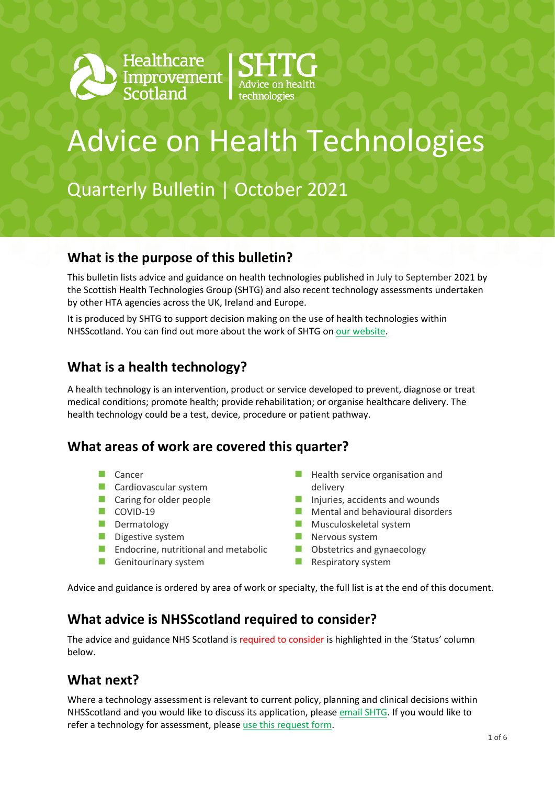



# Advice on Health Technologies

Quarterly Bulletin | October 2021

#### **What is the purpose of this bulletin?**

This bulletin lists advice and guidance on health technologies published in July to September 2021 by the Scottish Health Technologies Group (SHTG) and also recent technology assessments undertaken by other HTA agencies across the UK, Ireland and Europe.

It is produced by SHTG to support decision making on the use of health technologies within NHSScotland. [You can find out more about the work of SHTG on our website.](https://shtg.scot/)

#### **What is a health technology?**

A health technology is an intervention, product or service developed to prevent, diagnose or treat medical conditions; promote health; provide rehabilitation; or organise healthcare delivery. The health technology could be a test, device, procedure or patient pathway.

#### **What areas of work are covered this quarter?**

- Cancer
- **Cardiovascular system**
- **Caring for older people**
- $\Box$  COVID-19
- Dermatology
- Digestive system
- **Endocrine, nutritional and metabolic**
- Genitourinary system
- **Health service organisation and** delivery
- Injuries, accidents and wounds
- **Mental and behavioural disorders**
- **Musculoskeletal system**
- **Nervous system**
- **Obstetrics and gynaecology**
- $\blacksquare$  Respiratory system

Advice and guidance is ordered by area of work or specialty, the full list is at the end of this document.

#### **What advice is NHSScotland required to consider?**

The advice and guidance NHS Scotland is required to consider is highlighted in the 'Status' column below.

### **What next?**

Where a technology assessment is relevant to current policy, planning and clinical decisions within NHSScotland and you would like to discuss its application, please [email SHTG.](mailto:his.shtg@nhs.scot) If you would like to refer a technology for assessment, please [use this request form.](https://shtg.scot/request-advice/)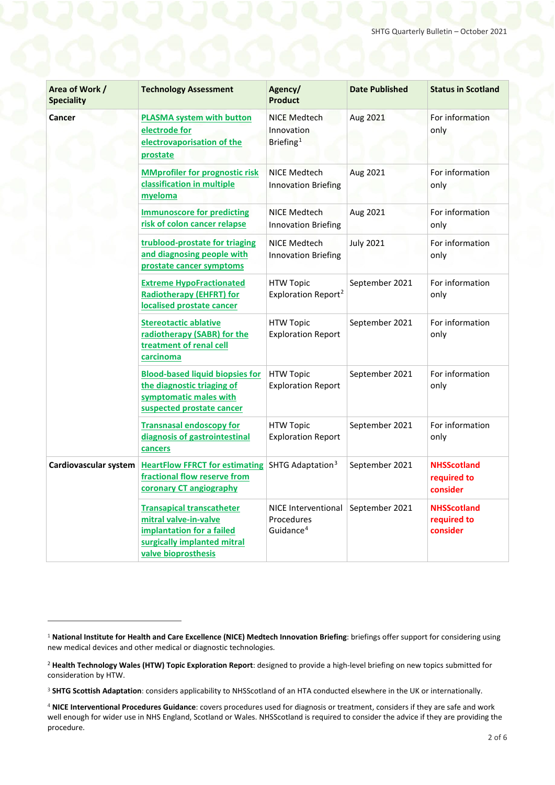| Area of Work /<br><b>Speciality</b> | <b>Technology Assessment</b>                                                                                                                 | Agency/<br><b>Product</b>                                  | <b>Date Published</b> | <b>Status in Scotland</b>                     |
|-------------------------------------|----------------------------------------------------------------------------------------------------------------------------------------------|------------------------------------------------------------|-----------------------|-----------------------------------------------|
| Cancer                              | <b>PLASMA system with button</b><br>electrode for<br>electrovaporisation of the<br>prostate                                                  | <b>NICE Medtech</b><br>Innovation<br>Briefing <sup>1</sup> | Aug 2021              | For information<br>only                       |
|                                     | <b>MMprofiler for prognostic risk</b><br>classification in multiple<br>myeloma                                                               | <b>NICE Medtech</b><br><b>Innovation Briefing</b>          | Aug 2021              | For information<br>only                       |
|                                     | <b>Immunoscore for predicting</b><br>risk of colon cancer relapse                                                                            | NICE Medtech<br><b>Innovation Briefing</b>                 | Aug 2021              | For information<br>only                       |
|                                     | trublood-prostate for triaging<br>and diagnosing people with<br>prostate cancer symptoms                                                     | NICE Medtech<br><b>Innovation Briefing</b>                 | <b>July 2021</b>      | For information<br>only                       |
|                                     | <b>Extreme HypoFractionated</b><br><b>Radiotherapy (EHFRT) for</b><br>localised prostate cancer                                              | <b>HTW Topic</b><br>Exploration Report <sup>2</sup>        | September 2021        | For information<br>only                       |
|                                     | <b>Stereotactic ablative</b><br>radiotherapy (SABR) for the<br>treatment of renal cell<br>carcinoma                                          | <b>HTW Topic</b><br><b>Exploration Report</b>              | September 2021        | For information<br>only                       |
|                                     | <b>Blood-based liquid biopsies for</b><br>the diagnostic triaging of<br>symptomatic males with<br>suspected prostate cancer                  | <b>HTW Topic</b><br><b>Exploration Report</b>              | September 2021        | For information<br>only                       |
|                                     | <b>Transnasal endoscopy for</b><br>diagnosis of gastrointestinal<br>cancers                                                                  | <b>HTW Topic</b><br><b>Exploration Report</b>              | September 2021        | For information<br>only                       |
| Cardiovascular system               | <b>HeartFlow FFRCT for estimating</b><br>fractional flow reserve from<br>coronary CT angiography                                             | SHTG Adaptation <sup>3</sup>                               | September 2021        | <b>NHSScotland</b><br>required to<br>consider |
|                                     | <b>Transapical transcatheter</b><br>mitral valve-in-valve<br>implantation for a failed<br>surgically implanted mitral<br>valve bioprosthesis | NICE Interventional<br>Procedures<br>Guidance <sup>4</sup> | September 2021        | <b>NHSScotland</b><br>required to<br>consider |

1

<span id="page-1-0"></span><sup>1</sup> **National Institute for Health and Care Excellence (NICE) Medtech Innovation Briefing**: briefings offer support for considering using new medical devices and other medical or diagnostic technologies.

<span id="page-1-1"></span><sup>2</sup> **Health Technology Wales (HTW) Topic Exploration Report**: designed to provide a high-level briefing on new topics submitted for consideration by HTW.

<span id="page-1-2"></span><sup>3</sup> **SHTG Scottish Adaptation**: considers applicability to NHSScotland of an HTA conducted elsewhere in the UK or internationally.

<span id="page-1-3"></span><sup>4</sup> **NICE Interventional Procedures Guidance**: covers procedures used for diagnosis or treatment, considers if they are safe and work well enough for wider use in NHS England, Scotland or Wales. NHSScotland is required to consider the advice if they are providing the procedure.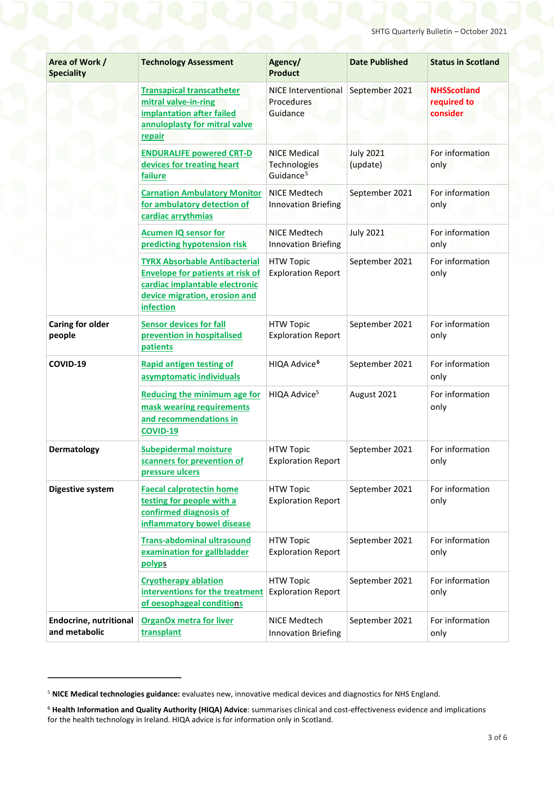| Area of Work /<br><b>Speciality</b>            | <b>Technology Assessment</b>                                                                                                                                    | Agency/<br><b>Product</b>                                    | <b>Date Published</b>        | <b>Status in Scotland</b>                     |
|------------------------------------------------|-----------------------------------------------------------------------------------------------------------------------------------------------------------------|--------------------------------------------------------------|------------------------------|-----------------------------------------------|
|                                                | <b>Transapical transcatheter</b><br>mitral valve-in-ring<br>implantation after failed<br>annuloplasty for mitral valve<br>repair                                | <b>NICE Interventional</b><br>Procedures<br>Guidance         | September 2021               | <b>NHSScotland</b><br>required to<br>consider |
|                                                | <b>ENDURALIFE powered CRT-D</b><br>devices for treating heart<br>failure                                                                                        | <b>NICE Medical</b><br>Technologies<br>Guidance <sup>5</sup> | <b>July 2021</b><br>(update) | For information<br>only                       |
|                                                | <b>Carnation Ambulatory Monitor</b><br>for ambulatory detection of<br>cardiac arrythmias                                                                        | <b>NICE Medtech</b><br><b>Innovation Briefing</b>            | September 2021               | For information<br>only                       |
|                                                | <b>Acumen IQ sensor for</b><br>predicting hypotension risk                                                                                                      | NICE Medtech<br><b>Innovation Briefing</b>                   | <b>July 2021</b>             | For information<br>only                       |
|                                                | <b>TYRX Absorbable Antibacterial</b><br><b>Envelope for patients at risk of</b><br>cardiac implantable electronic<br>device migration, erosion and<br>infection | <b>HTW Topic</b><br><b>Exploration Report</b>                | September 2021               | For information<br>only                       |
| <b>Caring for older</b><br>people              | <b>Sensor devices for fall</b><br>prevention in hospitalised<br>patients                                                                                        | <b>HTW Topic</b><br><b>Exploration Report</b>                | September 2021               | For information<br>only                       |
| COVID-19                                       | <b>Rapid antigen testing of</b><br>asymptomatic individuals                                                                                                     | HIQA Advice <sup>6</sup>                                     | September 2021               | For information<br>only                       |
|                                                | <b>Reducing the minimum age for</b><br>mask wearing requirements<br>and recommendations in<br><b>COVID-19</b>                                                   | HIQA Advice <sup>5</sup>                                     | August 2021                  | For information<br>only                       |
| Dermatology                                    | <b>Subepidermal moisture</b><br>scanners for prevention of<br>pressure ulcers                                                                                   | <b>HTW Topic</b><br><b>Exploration Report</b>                | September 2021               | For information<br>only                       |
| Digestive system                               | <b>Faecal calprotectin home</b><br>testing for people with a<br>confirmed diagnosis of<br>inflammatory bowel disease                                            | <b>HTW Topic</b><br><b>Exploration Report</b>                | September 2021               | For information<br>only                       |
|                                                | <b>Trans-abdominal ultrasound</b><br>examination for gallbladder<br>polyps                                                                                      | <b>HTW Topic</b><br><b>Exploration Report</b>                | September 2021               | For information<br>only                       |
|                                                | <b>Cryotherapy ablation</b><br>interventions for the treatment<br>of oesophageal conditions                                                                     | <b>HTW Topic</b><br><b>Exploration Report</b>                | September 2021               | For information<br>only                       |
| <b>Endocrine, nutritional</b><br>and metabolic | <b>OrganOx metra for liver</b><br>transplant                                                                                                                    | NICE Medtech<br><b>Innovation Briefing</b>                   | September 2021               | For information<br>only                       |

.

<span id="page-2-0"></span><sup>5</sup> **NICE Medical technologies guidance:** evaluates new, innovative medical devices and diagnostics for NHS England.

<span id="page-2-1"></span><sup>6</sup> **Health Information and Quality Authority (HIQA) Advice**: summarises clinical and cost-effectiveness evidence and implications for the health technology in Ireland. HIQA advice is for information only in Scotland.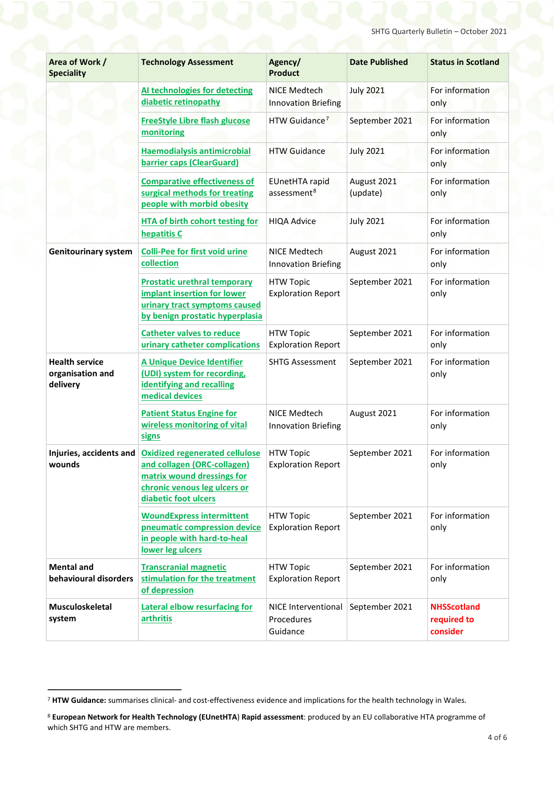| Area of Work /<br><b>Speciality</b>                   | <b>Technology Assessment</b>                                                                                                                               | Agency/<br><b>Product</b>                         | <b>Date Published</b>   | <b>Status in Scotland</b>                     |
|-------------------------------------------------------|------------------------------------------------------------------------------------------------------------------------------------------------------------|---------------------------------------------------|-------------------------|-----------------------------------------------|
|                                                       | Al technologies for detecting<br>diabetic retinopathy                                                                                                      | <b>NICE Medtech</b><br><b>Innovation Briefing</b> | <b>July 2021</b>        | For information<br>only                       |
|                                                       | <b>FreeStyle Libre flash glucose</b><br>monitoring                                                                                                         | HTW Guidance <sup>7</sup>                         | September 2021          | For information<br>only                       |
|                                                       | <b>Haemodialysis antimicrobial</b><br>barrier caps (ClearGuard)                                                                                            | <b>HTW Guidance</b>                               | <b>July 2021</b>        | For information<br>only                       |
|                                                       | <b>Comparative effectiveness of</b><br>surgical methods for treating<br>people with morbid obesity                                                         | <b>EUnetHTA rapid</b><br>assessment <sup>8</sup>  | August 2021<br>(update) | For information<br>only                       |
|                                                       | <b>HTA of birth cohort testing for</b><br>hepatitis C                                                                                                      | <b>HIQA Advice</b>                                | <b>July 2021</b>        | For information<br>only                       |
| <b>Genitourinary system</b>                           | <b>Colli-Pee for first void urine</b><br>collection                                                                                                        | <b>NICE Medtech</b><br><b>Innovation Briefing</b> | August 2021             | For information<br>only                       |
|                                                       | <b>Prostatic urethral temporary</b><br>implant insertion for lower<br>urinary tract symptoms caused<br>by benign prostatic hyperplasia                     | <b>HTW Topic</b><br><b>Exploration Report</b>     | September 2021          | For information<br>only                       |
|                                                       | <b>Catheter valves to reduce</b><br>urinary catheter complications                                                                                         | <b>HTW Topic</b><br><b>Exploration Report</b>     | September 2021          | For information<br>only                       |
| <b>Health service</b><br>organisation and<br>delivery | <b>A Unique Device Identifier</b><br>(UDI) system for recording,<br>identifying and recalling<br>medical devices                                           | <b>SHTG Assessment</b>                            | September 2021          | For information<br>only                       |
|                                                       | <b>Patient Status Engine for</b><br>wireless monitoring of vital<br>signs                                                                                  | NICE Medtech<br><b>Innovation Briefing</b>        | August 2021             | For information<br>only                       |
| Injuries, accidents and<br>wounds                     | <b>Oxidized regenerated cellulose</b><br>and collagen (ORC-collagen)<br>matrix wound dressings for<br>chronic venous leg ulcers or<br>diabetic foot ulcers | <b>HTW Topic</b><br><b>Exploration Report</b>     | September 2021          | For information<br>only                       |
|                                                       | <b>WoundExpress intermittent</b><br>pneumatic compression device<br>in people with hard-to-heal<br>lower leg ulcers                                        | <b>HTW Topic</b><br><b>Exploration Report</b>     | September 2021          | For information<br>only                       |
| <b>Mental and</b><br>behavioural disorders            | <b>Transcranial magnetic</b><br>stimulation for the treatment<br>of depression                                                                             | <b>HTW Topic</b><br><b>Exploration Report</b>     | September 2021          | For information<br>only                       |
| <b>Musculoskeletal</b><br>system                      | <b>Lateral elbow resurfacing for</b><br>arthritis                                                                                                          | NICE Interventional<br>Procedures<br>Guidance     | September 2021          | <b>NHSScotland</b><br>required to<br>consider |

<span id="page-3-0"></span> <sup>7</sup> **HTW Guidance:** summarises clinical- and cost-effectiveness evidence and implications for the health technology in Wales.

<span id="page-3-1"></span><sup>8</sup> **European Network for Health Technology (EUnetHTA**) **Rapid assessment**: produced by an EU collaborative HTA programme of which SHTG and HTW are members.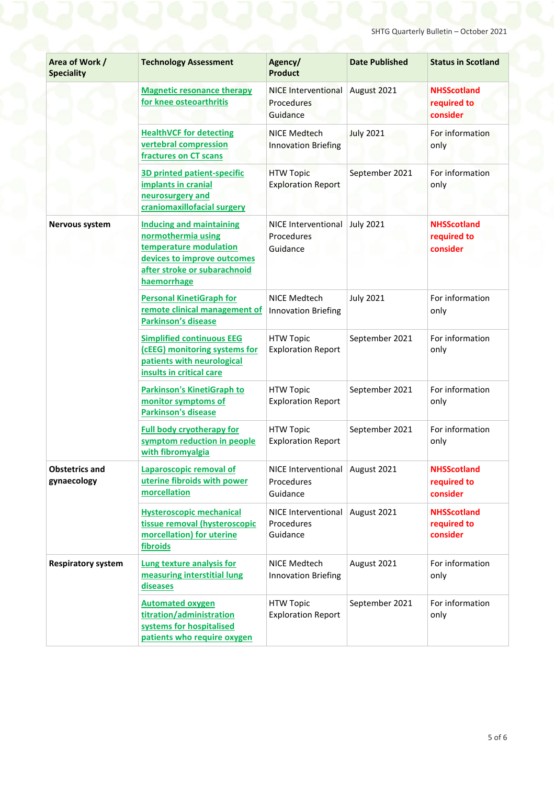| Area of Work /<br><b>Speciality</b>  | <b>Technology Assessment</b>                                                                                                                                  | Agency/<br><b>Product</b>                                   | <b>Date Published</b> | <b>Status in Scotland</b>                     |
|--------------------------------------|---------------------------------------------------------------------------------------------------------------------------------------------------------------|-------------------------------------------------------------|-----------------------|-----------------------------------------------|
|                                      | <b>Magnetic resonance therapy</b><br>for knee osteoarthritis                                                                                                  | <b>NICE Interventional</b><br><b>Procedures</b><br>Guidance | August 2021           | <b>NHSScotland</b><br>required to<br>consider |
|                                      | <b>HealthVCF for detecting</b><br>vertebral compression<br>fractures on CT scans                                                                              | NICE Medtech<br><b>Innovation Briefing</b>                  | <b>July 2021</b>      | For information<br>only                       |
|                                      | <b>3D printed patient-specific</b><br>implants in cranial<br>neurosurgery and<br>craniomaxillofacial surgery                                                  | <b>HTW Topic</b><br><b>Exploration Report</b>               | September 2021        | For information<br>only                       |
| Nervous system                       | <b>Inducing and maintaining</b><br>normothermia using<br>temperature modulation<br>devices to improve outcomes<br>after stroke or subarachnoid<br>haemorrhage | NICE Interventional<br>Procedures<br>Guidance               | <b>July 2021</b>      | <b>NHSScotland</b><br>required to<br>consider |
|                                      | <b>Personal KinetiGraph for</b><br>remote clinical management of<br><b>Parkinson's disease</b>                                                                | NICE Medtech<br><b>Innovation Briefing</b>                  | <b>July 2021</b>      | For information<br>only                       |
|                                      | <b>Simplified continuous EEG</b><br>(cEEG) monitoring systems for<br>patients with neurological<br>insults in critical care                                   | <b>HTW Topic</b><br><b>Exploration Report</b>               | September 2021        | For information<br>only                       |
|                                      | <b>Parkinson's KinetiGraph to</b><br>monitor symptoms of<br><b>Parkinson's disease</b>                                                                        | <b>HTW Topic</b><br><b>Exploration Report</b>               | September 2021        | For information<br>only                       |
|                                      | <b>Full body cryotherapy for</b><br>symptom reduction in people<br>with fibromyalgia                                                                          | <b>HTW Topic</b><br><b>Exploration Report</b>               | September 2021        | For information<br>only                       |
| <b>Obstetrics and</b><br>gynaecology | Laparoscopic removal of<br>uterine fibroids with power<br>morcellation                                                                                        | NICE Interventional August 2021<br>Procedures<br>Guidance   |                       | <b>NHSScotland</b><br>required to<br>consider |
|                                      | <b>Hysteroscopic mechanical</b><br>tissue removal (hysteroscopic<br>morcellation) for uterine<br>fibroids                                                     | NICE Interventional<br>Procedures<br>Guidance               | August 2021           | <b>NHSScotland</b><br>required to<br>consider |
| <b>Respiratory system</b>            | Lung texture analysis for<br>measuring interstitial lung<br>diseases                                                                                          | NICE Medtech<br><b>Innovation Briefing</b>                  | August 2021           | For information<br>only                       |
|                                      | <b>Automated oxygen</b><br>titration/administration<br>systems for hospitalised<br>patients who require oxygen                                                | <b>HTW Topic</b><br><b>Exploration Report</b>               | September 2021        | For information<br>only                       |